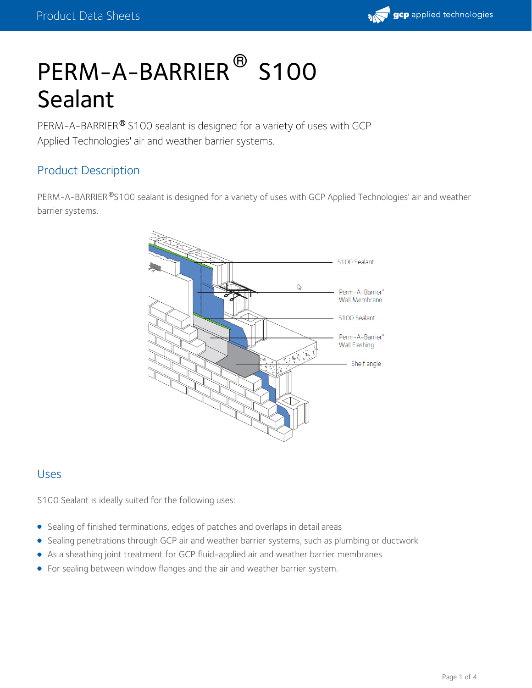

# PERM-A-BARRIER<sup>®</sup> S100 Sealant

PERM-A-BARRIER® S100 sealant is designed for a variety of uses with GCP Applied Technologies' air and weather barrier systems.

# Product Description

PERM-A-BARRIER®S100 sealant is designed for a variety of uses with GCP Applied Technologies' air and weather barrier systems.



#### Uses

S100 Sealant is ideally suited for the following uses:

- Sealing of finished terminations, edges of patches and overlaps in detail areas
- Sealing penetrations through GCP air and weather barrier systems, such as plumbing or ductwork
- As a sheathing joint treatment for GCP fluid-applied air and weather barrier membranes
- For sealing between window flanges and the air and weather barrier system.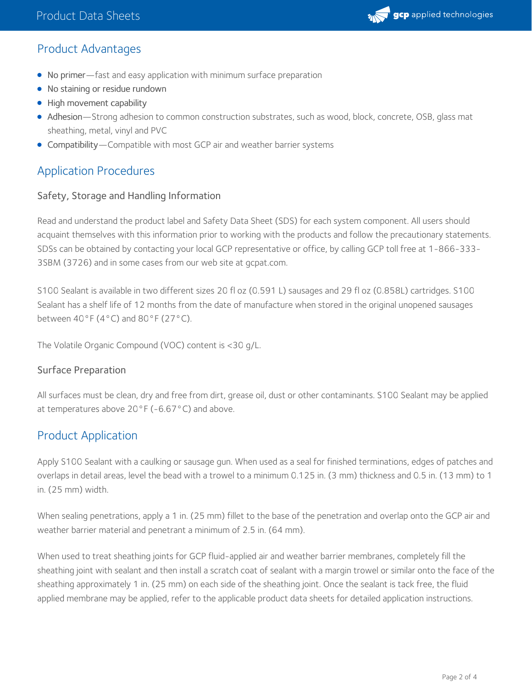

# Product Advantages

- No primer—fast and easy application with minimum surface preparation
- No staining or residue rundown
- High movement capability
- Adhesion—Strong adhesion to common construction substrates, such as wood, block, concrete, OSB, glass mat sheathing, metal, vinyl and PVC
- Compatibility—Compatible with most GCP air and weather barrier systems

# Application Procedures

#### Safety, Storage and Handling Information

Read and understand the product label and Safety Data Sheet (SDS) for each system component. All users should acquaint themselves with this information prior to working with the products and follow the precautionary statements. SDSs can be obtained by contacting your local GCP representative or office, by calling GCP toll free at 1-866-333- 3SBM (3726) and in some cases from our web site at gcpat.com.

S100 Sealant is available in two different sizes 20 fl oz (0.591 L) sausages and 29 fl oz (0.858L) cartridges. S100 Sealant has a shelf life of 12 months from the date of manufacture when stored in the original unopened sausages between  $40^{\circ}$ F ( $4^{\circ}$ C) and  $80^{\circ}$ F (27 $^{\circ}$ C).

The Volatile Organic Compound (VOC) content is <30 g/L.

#### Surface Preparation

All surfaces must be clean, dry and free from dirt, grease oil, dust or other contaminants. S100 Sealant may be applied at temperatures above 20°F (-6.67°C) and above.

### Product Application

Apply S100 Sealant with a caulking or sausage gun. When used as a seal for finished terminations, edges of patches and overlaps in detail areas, level the bead with a trowel to a minimum 0.125 in. (3 mm) thickness and 0.5 in. (13 mm) to 1 in. (25 mm) width.

When sealing penetrations, apply a 1 in. (25 mm) fillet to the base of the penetration and overlap onto the GCP air and weather barrier material and penetrant a minimum of 2.5 in. (64 mm).

When used to treat sheathing joints for GCP fluid-applied air and weather barrier membranes, completely fill the sheathing joint with sealant and then install a scratch coat of sealant with a margin trowel or similar onto the face of the sheathing approximately 1 in. (25 mm) on each side of the sheathing joint. Once the sealant is tack free, the fluid applied membrane may be applied, refer to the applicable product data sheets for detailed application instructions.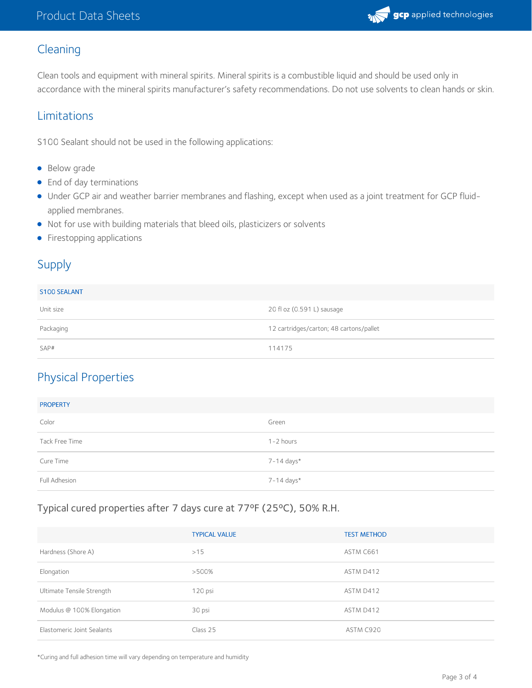

# Cleaning

Clean tools and equipment with mineral spirits. Mineral spirits is a combustible liquid and should be used only in accordance with the mineral spirits manufacturer's safety recommendations. Do not use solvents to clean hands or skin.

#### Limitations

S100 Sealant should not be used in the following applications:

- Below grade
- End of day terminations
- Under GCP air and weather barrier membranes and flashing, except when used as a joint treatment for GCP fluidapplied membranes.
- Not for use with building materials that bleed oils, plasticizers or solvents
- Firestopping applications

# Supply

#### S100 SEALANT

| ___________ |                                         |  |
|-------------|-----------------------------------------|--|
| Unit size   | 20 fl oz (0.591 L) sausage              |  |
| Packaging   | 12 cartridges/carton; 48 cartons/pallet |  |
| SAP#        | 114175                                  |  |

# Physical Properties

| <b>PROPERTY</b> |               |
|-----------------|---------------|
| Color           | Green         |
| Tack Free Time  | $1 - 2$ hours |
| Cure Time       | 7-14 days*    |
| Full Adhesion   | 7-14 days*    |

#### Typical cured properties after 7 days cure at 77ºF (25ºC), 50% R.H.

|                            | <b>TYPICAL VALUE</b> | <b>TEST METHOD</b> |
|----------------------------|----------------------|--------------------|
| Hardness (Shore A)         | >15                  | ASTM C661          |
| Elongation                 | $>500\%$             | ASTM D412          |
| Ultimate Tensile Strength  | 120 psi              | ASTM D412          |
| Modulus @ 100% Elongation  | 30 psi               | ASTM D412          |
| Elastomeric Joint Sealants | Class 25             | ASTM C920          |

\*Curing and full adhesion time will vary depending on temperature and humidity